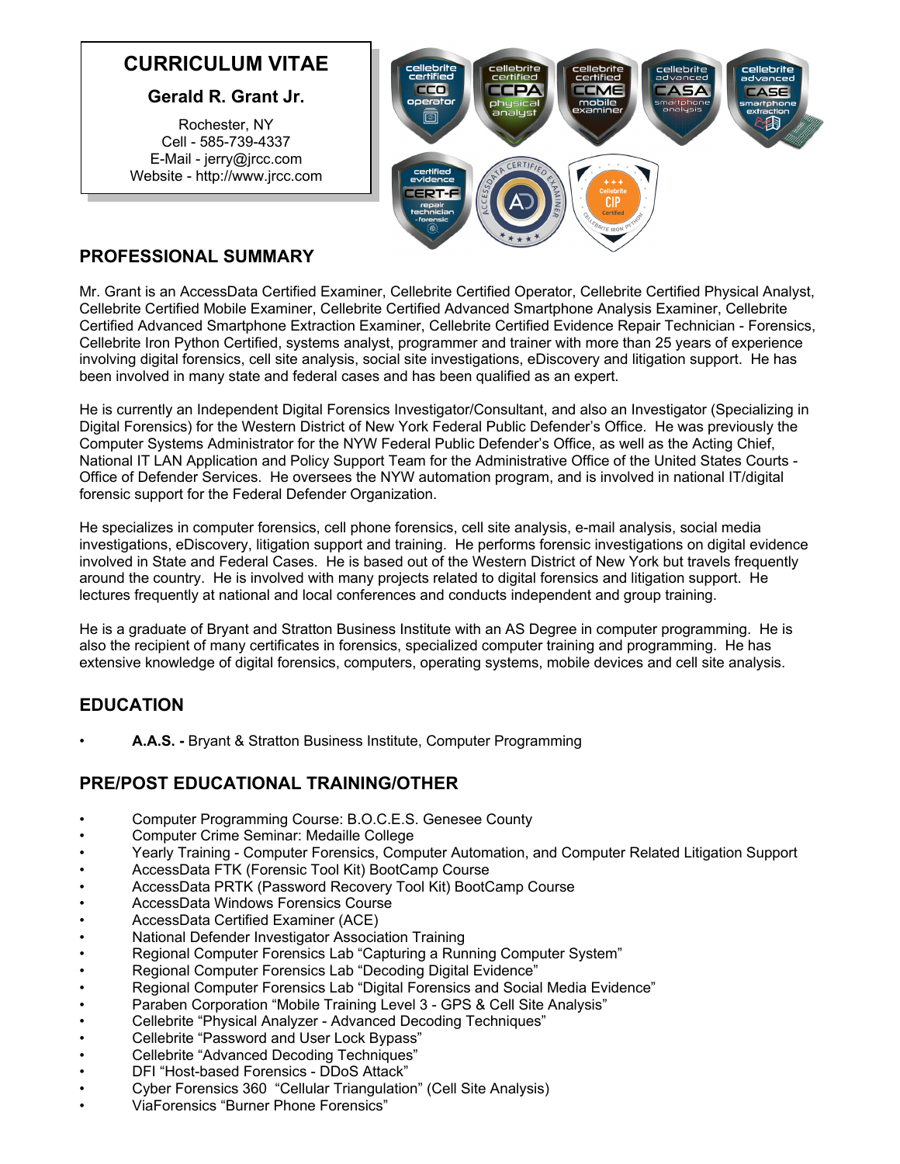# **CURRICULUM VITAE**

#### **Gerald R. Grant Jr.**

Rochester, NY Cell - 585-739-4337 E-Mail - jerry@jrcc.com Website - http://www.jrcc.com



### **PROFESSIONAL SUMMARY**

Mr. Grant is an AccessData Certified Examiner, Cellebrite Certified Operator, Cellebrite Certified Physical Analyst, Cellebrite Certified Mobile Examiner, Cellebrite Certified Advanced Smartphone Analysis Examiner, Cellebrite Certified Advanced Smartphone Extraction Examiner, Cellebrite Certified Evidence Repair Technician - Forensics, Cellebrite Iron Python Certified, systems analyst, programmer and trainer with more than 25 years of experience involving digital forensics, cell site analysis, social site investigations, eDiscovery and litigation support. He has been involved in many state and federal cases and has been qualified as an expert.

He is currently an Independent Digital Forensics Investigator/Consultant, and also an Investigator (Specializing in Digital Forensics) for the Western District of New York Federal Public Defender's Office. He was previously the Computer Systems Administrator for the NYW Federal Public Defender's Office, as well as the Acting Chief, National IT LAN Application and Policy Support Team for the Administrative Office of the United States Courts - Office of Defender Services. He oversees the NYW automation program, and is involved in national IT/digital forensic support for the Federal Defender Organization.

He specializes in computer forensics, cell phone forensics, cell site analysis, e-mail analysis, social media investigations, eDiscovery, litigation support and training. He performs forensic investigations on digital evidence involved in State and Federal Cases. He is based out of the Western District of New York but travels frequently around the country. He is involved with many projects related to digital forensics and litigation support. He lectures frequently at national and local conferences and conducts independent and group training.

He is a graduate of Bryant and Stratton Business Institute with an AS Degree in computer programming. He is also the recipient of many certificates in forensics, specialized computer training and programming. He has extensive knowledge of digital forensics, computers, operating systems, mobile devices and cell site analysis.

# **EDUCATION**

• **A.A.S. -** Bryant & Stratton Business Institute, Computer Programming

#### **PRE/POST EDUCATIONAL TRAINING/OTHER**

- Computer Programming Course: B.O.C.E.S. Genesee County
- Computer Crime Seminar: Medaille College
- Yearly Training Computer Forensics, Computer Automation, and Computer Related Litigation Support
- AccessData FTK (Forensic Tool Kit) BootCamp Course
- AccessData PRTK (Password Recovery Tool Kit) BootCamp Course
- AccessData Windows Forensics Course
- AccessData Certified Examiner (ACE)
- National Defender Investigator Association Training
- Regional Computer Forensics Lab "Capturing a Running Computer System"
- Regional Computer Forensics Lab "Decoding Digital Evidence"
- Regional Computer Forensics Lab "Digital Forensics and Social Media Evidence"
- Paraben Corporation "Mobile Training Level 3 GPS & Cell Site Analysis"
- Cellebrite "Physical Analyzer Advanced Decoding Techniques"
- Cellebrite "Password and User Lock Bypass"
- Cellebrite "Advanced Decoding Techniques"
- DFI "Host-based Forensics DDoS Attack"
- Cyber Forensics 360 "Cellular Triangulation" (Cell Site Analysis)
- ViaForensics "Burner Phone Forensics"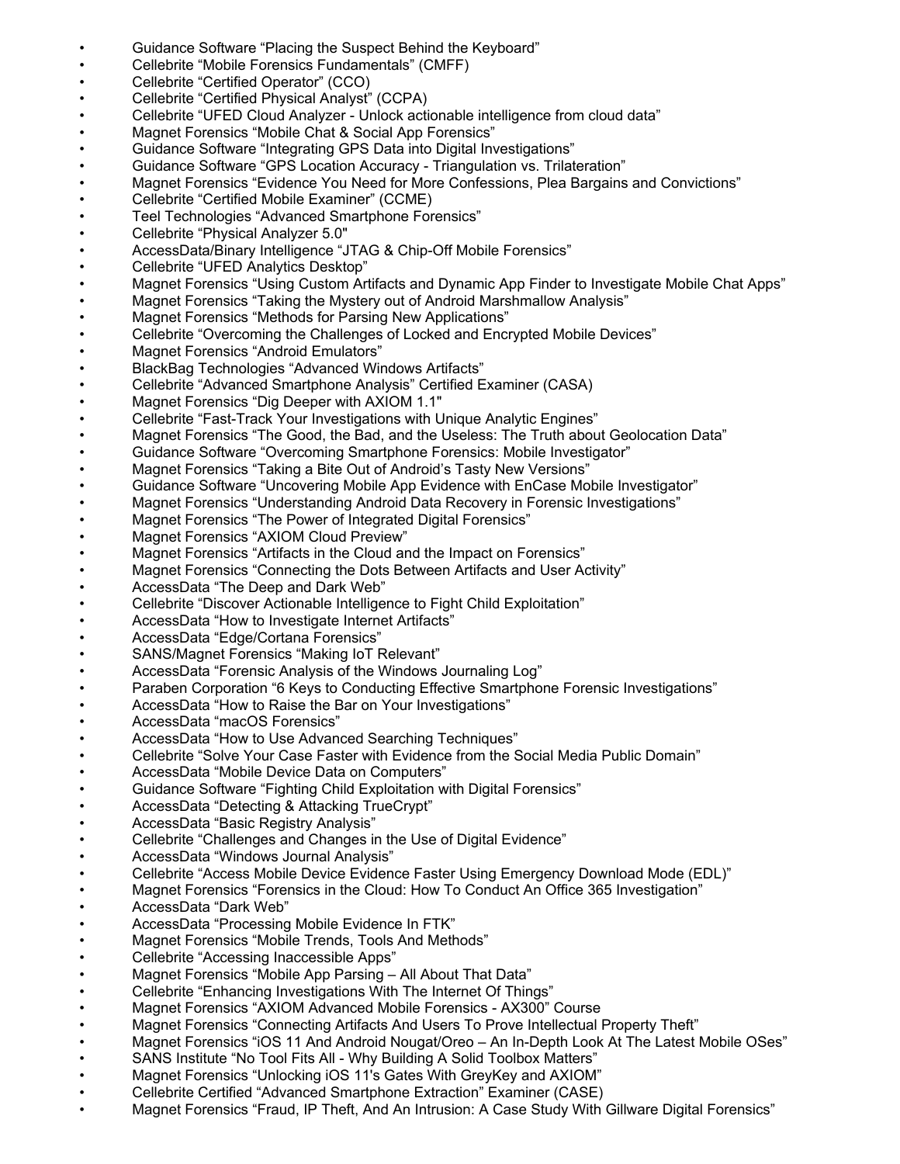- Guidance Software "Placing the Suspect Behind the Keyboard"
- Cellebrite "Mobile Forensics Fundamentals" (CMFF)
- Cellebrite "Certified Operator" (CCO)
- Cellebrite "Certified Physical Analyst" (CCPA)
- Cellebrite "UFED Cloud Analyzer Unlock actionable intelligence from cloud data"
- Magnet Forensics "Mobile Chat & Social App Forensics"
- Guidance Software "Integrating GPS Data into Digital Investigations"
- Guidance Software "GPS Location Accuracy Triangulation vs. Trilateration"
- Magnet Forensics "Evidence You Need for More Confessions, Plea Bargains and Convictions"
- Cellebrite "Certified Mobile Examiner" (CCME)
- Teel Technologies "Advanced Smartphone Forensics"
- Cellebrite "Physical Analyzer 5.0"
- AccessData/Binary Intelligence "JTAG & Chip-Off Mobile Forensics"
- Cellebrite "UFED Analytics Desktop"
- Magnet Forensics "Using Custom Artifacts and Dynamic App Finder to Investigate Mobile Chat Apps"
- Magnet Forensics "Taking the Mystery out of Android Marshmallow Analysis"
- Magnet Forensics "Methods for Parsing New Applications"
- Cellebrite "Overcoming the Challenges of Locked and Encrypted Mobile Devices"
- Magnet Forensics "Android Emulators"
- BlackBag Technologies "Advanced Windows Artifacts"
- Cellebrite "Advanced Smartphone Analysis" Certified Examiner (CASA)
- Magnet Forensics "Dig Deeper with AXIOM 1.1"
- Cellebrite "Fast-Track Your Investigations with Unique Analytic Engines"
- Magnet Forensics "The Good, the Bad, and the Useless: The Truth about Geolocation Data"
- Guidance Software "Overcoming Smartphone Forensics: Mobile Investigator"
- Magnet Forensics "Taking a Bite Out of Android's Tasty New Versions"
- Guidance Software "Uncovering Mobile App Evidence with EnCase Mobile Investigator"
- Magnet Forensics "Understanding Android Data Recovery in Forensic Investigations"
- Magnet Forensics "The Power of Integrated Digital Forensics"
- Magnet Forensics "AXIOM Cloud Preview"
- Magnet Forensics "Artifacts in the Cloud and the Impact on Forensics"
- Magnet Forensics "Connecting the Dots Between Artifacts and User Activity"
- AccessData "The Deep and Dark Web"
- Cellebrite "Discover Actionable Intelligence to Fight Child Exploitation"
- AccessData "How to Investigate Internet Artifacts"
- AccessData "Edge/Cortana Forensics"
- SANS/Magnet Forensics "Making IoT Relevant"
- AccessData "Forensic Analysis of the Windows Journaling Log"
- Paraben Corporation "6 Keys to Conducting Effective Smartphone Forensic Investigations"
- AccessData "How to Raise the Bar on Your Investigations"
- AccessData "macOS Forensics"
- AccessData "How to Use Advanced Searching Techniques"
- Cellebrite "Solve Your Case Faster with Evidence from the Social Media Public Domain"
- AccessData "Mobile Device Data on Computers"
- Guidance Software "Fighting Child Exploitation with Digital Forensics"
- AccessData "Detecting & Attacking TrueCrypt"
- AccessData "Basic Registry Analysis"
- Cellebrite "Challenges and Changes in the Use of Digital Evidence"
- AccessData "Windows Journal Analysis"
- Cellebrite "Access Mobile Device Evidence Faster Using Emergency Download Mode (EDL)"
- Magnet Forensics "Forensics in the Cloud: How To Conduct An Office 365 Investigation"
- AccessData "Dark Web"
- AccessData "Processing Mobile Evidence In FTK"
- Magnet Forensics "Mobile Trends, Tools And Methods"
- Cellebrite "Accessing Inaccessible Apps"
- Magnet Forensics "Mobile App Parsing All About That Data"
- Cellebrite "Enhancing Investigations With The Internet Of Things"
- Magnet Forensics "AXIOM Advanced Mobile Forensics AX300" Course
- Magnet Forensics "Connecting Artifacts And Users To Prove Intellectual Property Theft"
- Magnet Forensics "iOS 11 And Android Nougat/Oreo An In-Depth Look At The Latest Mobile OSes"
- SANS Institute "No Tool Fits All Why Building A Solid Toolbox Matters"
- Magnet Forensics "Unlocking iOS 11's Gates With GreyKey and AXIOM"
- Cellebrite Certified "Advanced Smartphone Extraction" Examiner (CASE)
- Magnet Forensics "Fraud, IP Theft, And An Intrusion: A Case Study With Gillware Digital Forensics"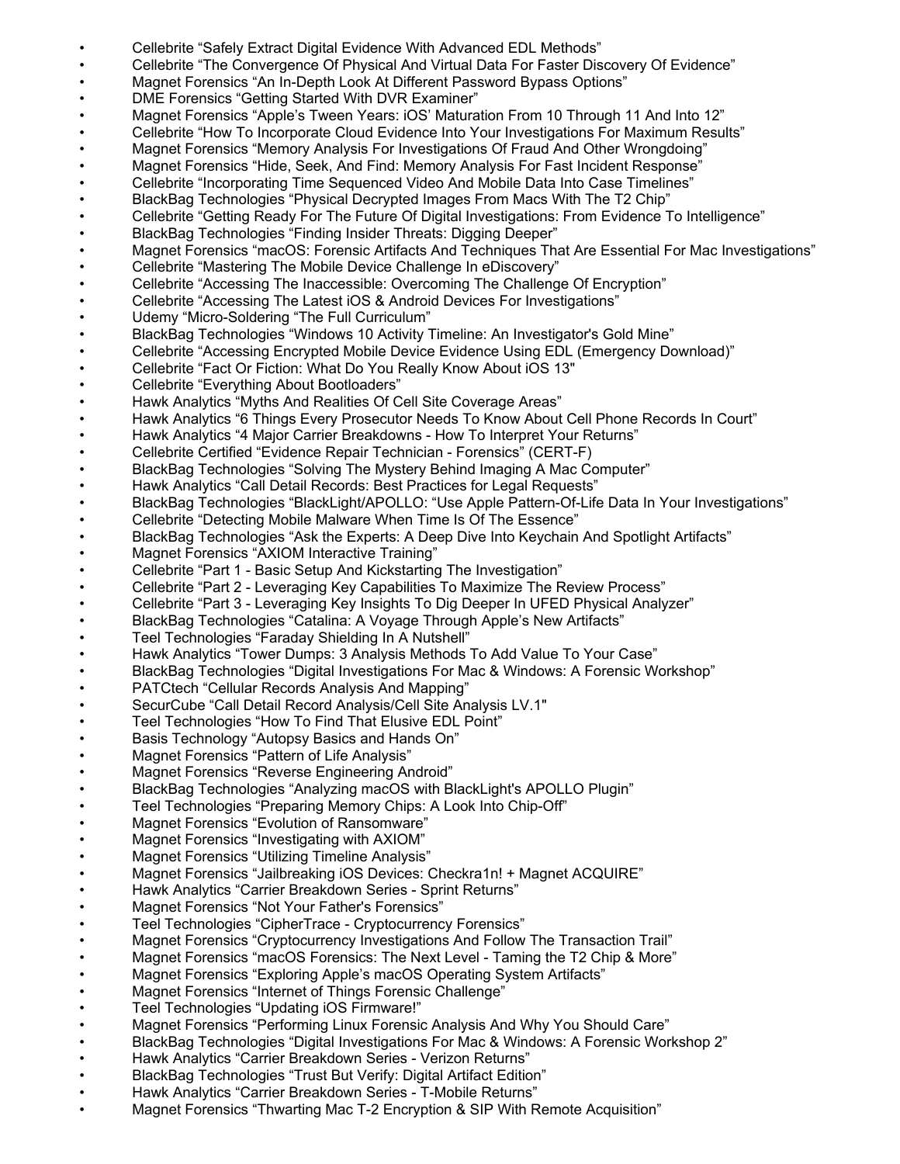- Cellebrite "Safely Extract Digital Evidence With Advanced EDL Methods"
- Cellebrite "The Convergence Of Physical And Virtual Data For Faster Discovery Of Evidence"
- Magnet Forensics "An In-Depth Look At Different Password Bypass Options"
- DME Forensics "Getting Started With DVR Examiner"
- Magnet Forensics "Apple's Tween Years: iOS' Maturation From 10 Through 11 And Into 12"
- Cellebrite "How To Incorporate Cloud Evidence Into Your Investigations For Maximum Results"
- Magnet Forensics "Memory Analysis For Investigations Of Fraud And Other Wrongdoing"
- Magnet Forensics "Hide, Seek, And Find: Memory Analysis For Fast Incident Response"
- Cellebrite "Incorporating Time Sequenced Video And Mobile Data Into Case Timelines"
- BlackBag Technologies "Physical Decrypted Images From Macs With The T2 Chip"
- Cellebrite "Getting Ready For The Future Of Digital Investigations: From Evidence To Intelligence"
- BlackBag Technologies "Finding Insider Threats: Digging Deeper"
- Magnet Forensics "macOS: Forensic Artifacts And Techniques That Are Essential For Mac Investigations"
- Cellebrite "Mastering The Mobile Device Challenge In eDiscovery"
- Cellebrite "Accessing The Inaccessible: Overcoming The Challenge Of Encryption"
- Cellebrite "Accessing The Latest iOS & Android Devices For Investigations"
- Udemy "Micro-Soldering "The Full Curriculum"
- BlackBag Technologies "Windows 10 Activity Timeline: An Investigator's Gold Mine"
- Cellebrite "Accessing Encrypted Mobile Device Evidence Using EDL (Emergency Download)"
- Cellebrite "Fact Or Fiction: What Do You Really Know About iOS 13"
- Cellebrite "Everything About Bootloaders"
- Hawk Analytics "Myths And Realities Of Cell Site Coverage Areas"
- Hawk Analytics "6 Things Every Prosecutor Needs To Know About Cell Phone Records In Court"
- Hawk Analytics "4 Major Carrier Breakdowns How To Interpret Your Returns"
- Cellebrite Certified "Evidence Repair Technician Forensics" (CERT-F)
- BlackBag Technologies "Solving The Mystery Behind Imaging A Mac Computer"
- Hawk Analytics "Call Detail Records: Best Practices for Legal Requests"
- BlackBag Technologies "BlackLight/APOLLO: "Use Apple Pattern-Of-Life Data In Your Investigations"
- Cellebrite "Detecting Mobile Malware When Time Is Of The Essence"
- BlackBag Technologies "Ask the Experts: A Deep Dive Into Keychain And Spotlight Artifacts"
- Magnet Forensics "AXIOM Interactive Training"
- Cellebrite "Part 1 Basic Setup And Kickstarting The Investigation"
- Cellebrite "Part 2 Leveraging Key Capabilities To Maximize The Review Process"
- Cellebrite "Part 3 Leveraging Key Insights To Dig Deeper In UFED Physical Analyzer"
- BlackBag Technologies "Catalina: A Voyage Through Apple's New Artifacts"
- Teel Technologies "Faraday Shielding In A Nutshell"
- Hawk Analytics "Tower Dumps: 3 Analysis Methods To Add Value To Your Case"
- BlackBag Technologies "Digital Investigations For Mac & Windows: A Forensic Workshop"
- PATCtech "Cellular Records Analysis And Mapping"
- SecurCube "Call Detail Record Analysis/Cell Site Analysis LV.1"
- Teel Technologies "How To Find That Elusive EDL Point"
- Basis Technology "Autopsy Basics and Hands On"
- Magnet Forensics "Pattern of Life Analysis"
- Magnet Forensics "Reverse Engineering Android"
- BlackBag Technologies "Analyzing macOS with BlackLight's APOLLO Plugin"
- Teel Technologies "Preparing Memory Chips: A Look Into Chip-Off"
- Magnet Forensics "Evolution of Ransomware"
- Magnet Forensics "Investigating with AXIOM"
- Magnet Forensics "Utilizing Timeline Analysis"
- Magnet Forensics "Jailbreaking iOS Devices: Checkra1n! + Magnet ACQUIRE"
- Hawk Analytics "Carrier Breakdown Series Sprint Returns"
- Magnet Forensics "Not Your Father's Forensics"
- Teel Technologies "CipherTrace Cryptocurrency Forensics"
- Magnet Forensics "Cryptocurrency Investigations And Follow The Transaction Trail"
- Magnet Forensics "macOS Forensics: The Next Level Taming the T2 Chip & More"
- Magnet Forensics "Exploring Apple's macOS Operating System Artifacts"
- Magnet Forensics "Internet of Things Forensic Challenge"
- Teel Technologies "Updating iOS Firmware!"
- Magnet Forensics "Performing Linux Forensic Analysis And Why You Should Care"
- BlackBag Technologies "Digital Investigations For Mac & Windows: A Forensic Workshop 2"
- Hawk Analytics "Carrier Breakdown Series Verizon Returns"
- BlackBag Technologies "Trust But Verify: Digital Artifact Edition"
- Hawk Analytics "Carrier Breakdown Series T-Mobile Returns"
- Magnet Forensics "Thwarting Mac T-2 Encryption & SIP With Remote Acquisition"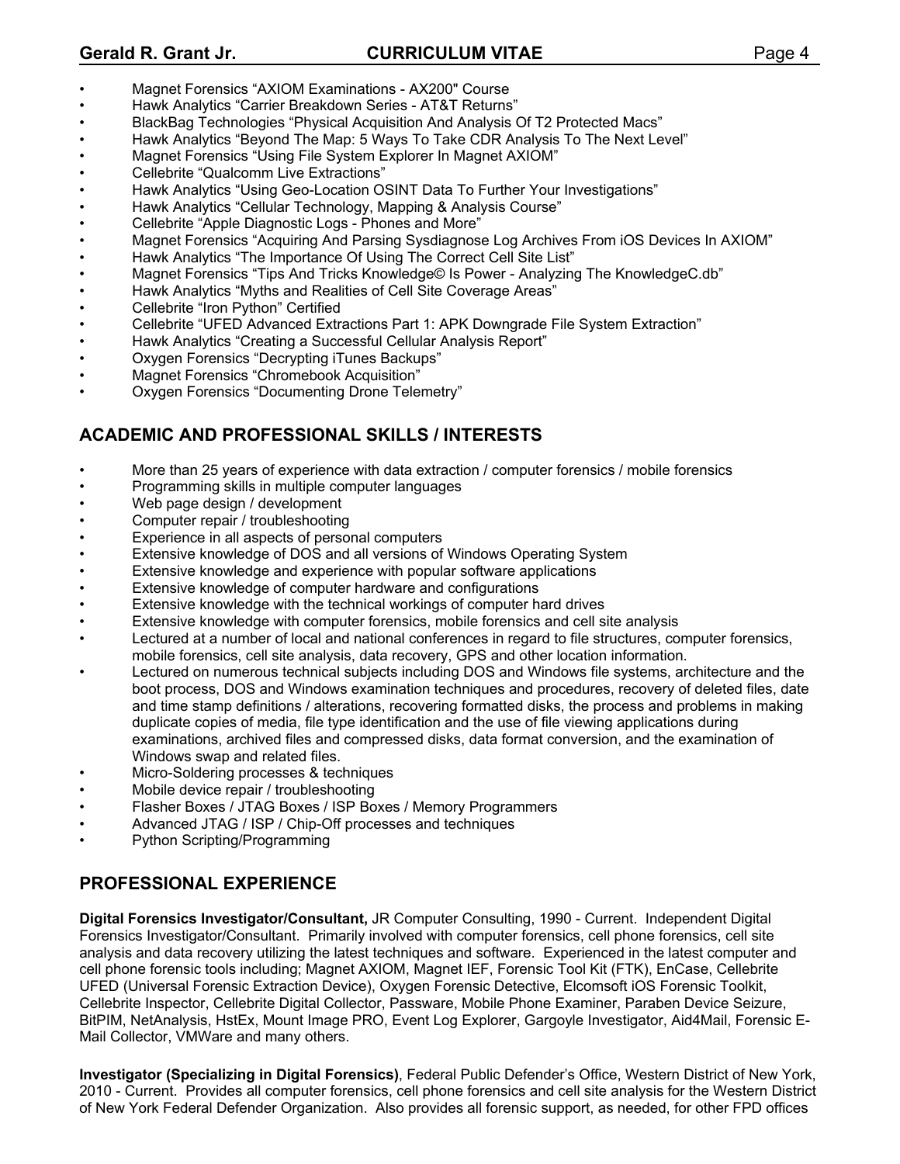#### **Gerald R. Grant Jr. CURRICULUM VITAE** Page 4

- Magnet Forensics "AXIOM Examinations AX200" Course
- Hawk Analytics "Carrier Breakdown Series AT&T Returns"
- BlackBag Technologies "Physical Acquisition And Analysis Of T2 Protected Macs"
- Hawk Analytics "Beyond The Map: 5 Ways To Take CDR Analysis To The Next Level"
- Magnet Forensics "Using File System Explorer In Magnet AXIOM"
- Cellebrite "Qualcomm Live Extractions"
- Hawk Analytics "Using Geo-Location OSINT Data To Further Your Investigations"
- Hawk Analytics "Cellular Technology, Mapping & Analysis Course"
- Cellebrite "Apple Diagnostic Logs Phones and More"
- Magnet Forensics "Acquiring And Parsing Sysdiagnose Log Archives From iOS Devices In AXIOM"
- Hawk Analytics "The Importance Of Using The Correct Cell Site List"
- Magnet Forensics "Tips And Tricks Knowledge© Is Power Analyzing The KnowledgeC.db"
- Hawk Analytics "Myths and Realities of Cell Site Coverage Areas"
- Cellebrite "Iron Python" Certified
- Cellebrite "UFED Advanced Extractions Part 1: APK Downgrade File System Extraction"
- Hawk Analytics "Creating a Successful Cellular Analysis Report"
- Oxygen Forensics "Decrypting iTunes Backups"
- Magnet Forensics "Chromebook Acquisition"
- Oxygen Forensics "Documenting Drone Telemetry"

# **ACADEMIC AND PROFESSIONAL SKILLS / INTERESTS**

- More than 25 years of experience with data extraction / computer forensics / mobile forensics
- Programming skills in multiple computer languages
- Web page design / development
- Computer repair / troubleshooting
- Experience in all aspects of personal computers
- Extensive knowledge of DOS and all versions of Windows Operating System
- Extensive knowledge and experience with popular software applications
- Extensive knowledge of computer hardware and configurations
- Extensive knowledge with the technical workings of computer hard drives
- Extensive knowledge with computer forensics, mobile forensics and cell site analysis
- Lectured at a number of local and national conferences in regard to file structures, computer forensics, mobile forensics, cell site analysis, data recovery, GPS and other location information.
- Lectured on numerous technical subjects including DOS and Windows file systems, architecture and the boot process, DOS and Windows examination techniques and procedures, recovery of deleted files, date and time stamp definitions / alterations, recovering formatted disks, the process and problems in making duplicate copies of media, file type identification and the use of file viewing applications during examinations, archived files and compressed disks, data format conversion, and the examination of Windows swap and related files.
- Micro-Soldering processes & techniques
- Mobile device repair / troubleshooting
- Flasher Boxes / JTAG Boxes / ISP Boxes / Memory Programmers
- Advanced JTAG / ISP / Chip-Off processes and techniques
- Python Scripting/Programming

# **PROFESSIONAL EXPERIENCE**

**Digital Forensics Investigator/Consultant,** JR Computer Consulting, 1990 - Current. Independent Digital Forensics Investigator/Consultant. Primarily involved with computer forensics, cell phone forensics, cell site analysis and data recovery utilizing the latest techniques and software. Experienced in the latest computer and cell phone forensic tools including; Magnet AXIOM, Magnet IEF, Forensic Tool Kit (FTK), EnCase, Cellebrite UFED (Universal Forensic Extraction Device), Oxygen Forensic Detective, Elcomsoft iOS Forensic Toolkit, Cellebrite Inspector, Cellebrite Digital Collector, Passware, Mobile Phone Examiner, Paraben Device Seizure, BitPIM, NetAnalysis, HstEx, Mount Image PRO, Event Log Explorer, Gargoyle Investigator, Aid4Mail, Forensic E-Mail Collector, VMWare and many others.

**Investigator (Specializing in Digital Forensics)**, Federal Public Defender's Office, Western District of New York, 2010 - Current. Provides all computer forensics, cell phone forensics and cell site analysis for the Western District of New York Federal Defender Organization. Also provides all forensic support, as needed, for other FPD offices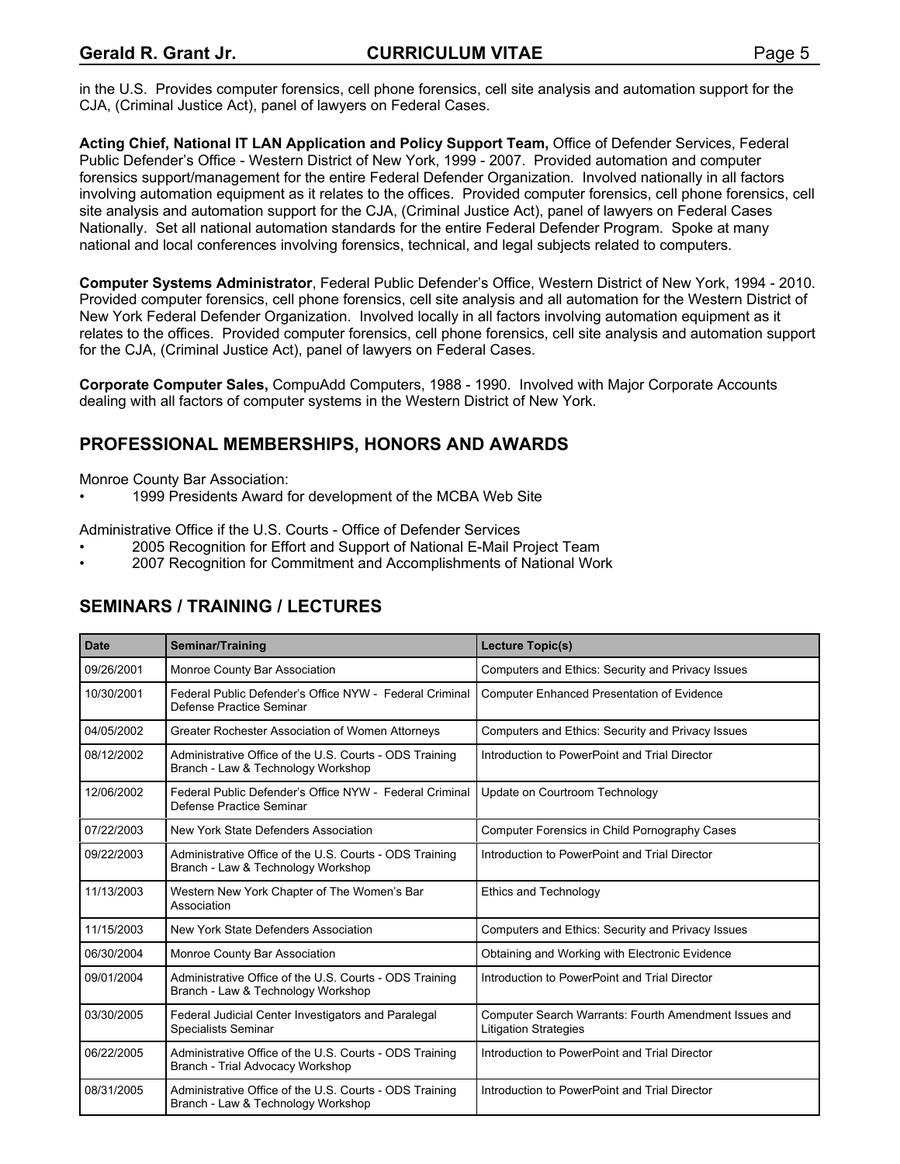in the U.S. Provides computer forensics, cell phone forensics, cell site analysis and automation support for the CJA, (Criminal Justice Act), panel of lawyers on Federal Cases.

**Acting Chief, National IT LAN Application and Policy Support Team,** Office of Defender Services, Federal Public Defender's Office - Western District of New York, 1999 - 2007. Provided automation and computer forensics support/management for the entire Federal Defender Organization. Involved nationally in all factors involving automation equipment as it relates to the offices. Provided computer forensics, cell phone forensics, cell site analysis and automation support for the CJA, (Criminal Justice Act), panel of lawyers on Federal Cases Nationally. Set all national automation standards for the entire Federal Defender Program. Spoke at many national and local conferences involving forensics, technical, and legal subjects related to computers.

**Computer Systems Administrator**, Federal Public Defender's Office, Western District of New York, 1994 - 2010. Provided computer forensics, cell phone forensics, cell site analysis and all automation for the Western District of New York Federal Defender Organization. Involved locally in all factors involving automation equipment as it relates to the offices. Provided computer forensics, cell phone forensics, cell site analysis and automation support for the CJA, (Criminal Justice Act), panel of lawyers on Federal Cases.

**Corporate Computer Sales,** CompuAdd Computers, 1988 - 1990. Involved with Major Corporate Accounts dealing with all factors of computer systems in the Western District of New York.

#### **PROFESSIONAL MEMBERSHIPS, HONORS AND AWARDS**

Monroe County Bar Association:

• 1999 Presidents Award for development of the MCBA Web Site

Administrative Office if the U.S. Courts - Office of Defender Services

- 2005 Recognition for Effort and Support of National E-Mail Project Team
- 2007 Recognition for Commitment and Accomplishments of National Work

# **SEMINARS / TRAINING / LECTURES**

| <b>Date</b> | <b>Seminar/Training</b>                                                                       | Lecture Topic(s)                                                                      |
|-------------|-----------------------------------------------------------------------------------------------|---------------------------------------------------------------------------------------|
| 09/26/2001  | Monroe County Bar Association                                                                 | Computers and Ethics: Security and Privacy Issues                                     |
| 10/30/2001  | Federal Public Defender's Office NYW - Federal Criminal<br>Defense Practice Seminar           | <b>Computer Enhanced Presentation of Evidence</b>                                     |
| 04/05/2002  | Greater Rochester Association of Women Attorneys                                              | Computers and Ethics: Security and Privacy Issues                                     |
| 08/12/2002  | Administrative Office of the U.S. Courts - ODS Training<br>Branch - Law & Technology Workshop | Introduction to PowerPoint and Trial Director                                         |
| 12/06/2002  | Federal Public Defender's Office NYW - Federal Criminal<br>Defense Practice Seminar           | Update on Courtroom Technology                                                        |
| 07/22/2003  | New York State Defenders Association                                                          | Computer Forensics in Child Pornography Cases                                         |
| 09/22/2003  | Administrative Office of the U.S. Courts - ODS Training<br>Branch - Law & Technology Workshop | Introduction to PowerPoint and Trial Director                                         |
| 11/13/2003  | Western New York Chapter of The Women's Bar<br>Association                                    | <b>Ethics and Technology</b>                                                          |
| 11/15/2003  | New York State Defenders Association                                                          | Computers and Ethics: Security and Privacy Issues                                     |
| 06/30/2004  | Monroe County Bar Association                                                                 | Obtaining and Working with Electronic Evidence                                        |
| 09/01/2004  | Administrative Office of the U.S. Courts - ODS Training<br>Branch - Law & Technology Workshop | Introduction to PowerPoint and Trial Director                                         |
| 03/30/2005  | Federal Judicial Center Investigators and Paralegal<br>Specialists Seminar                    | Computer Search Warrants: Fourth Amendment Issues and<br><b>Litigation Strategies</b> |
| 06/22/2005  | Administrative Office of the U.S. Courts - ODS Training<br>Branch - Trial Advocacy Workshop   | Introduction to PowerPoint and Trial Director                                         |
| 08/31/2005  | Administrative Office of the U.S. Courts - ODS Training<br>Branch - Law & Technology Workshop | Introduction to PowerPoint and Trial Director                                         |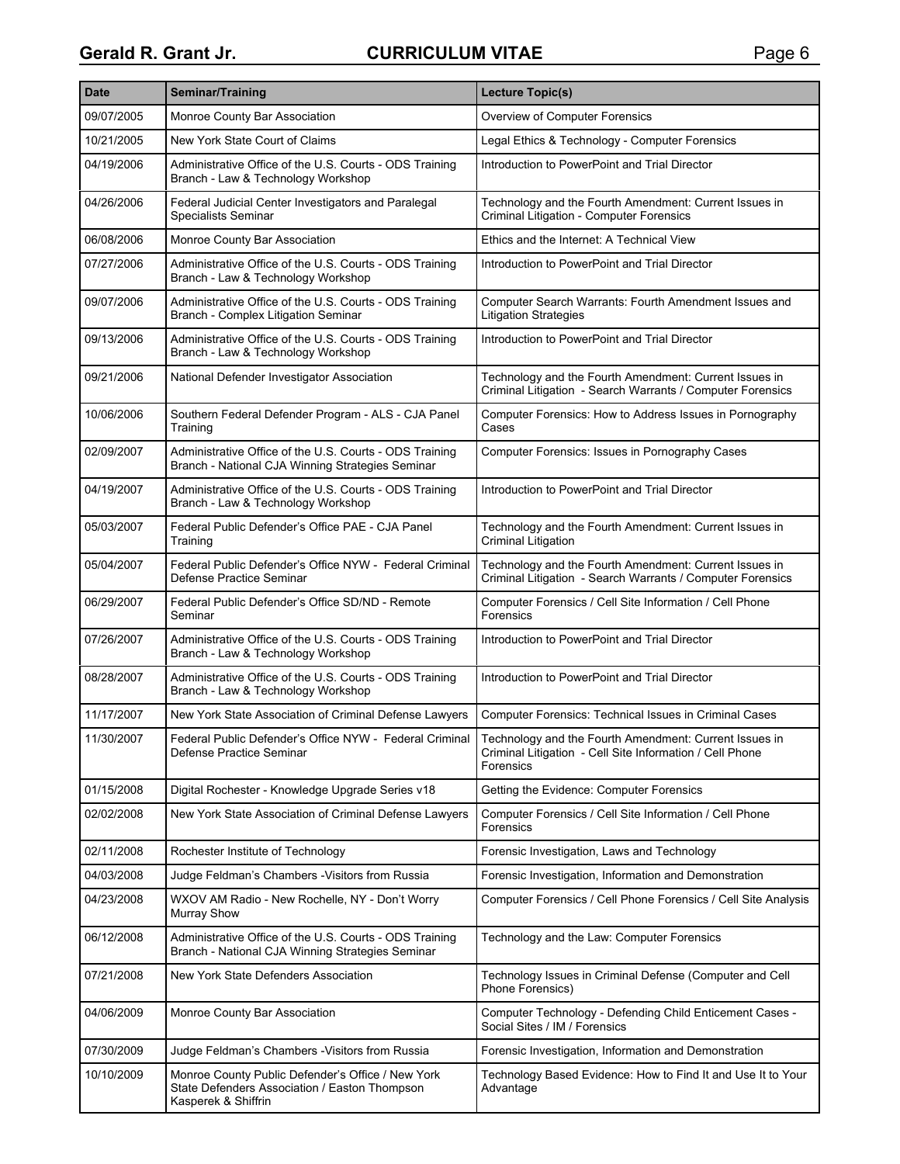| <b>Date</b> | Seminar/Training                                                                                                          | Lecture Topic(s)                                                                                                                |
|-------------|---------------------------------------------------------------------------------------------------------------------------|---------------------------------------------------------------------------------------------------------------------------------|
| 09/07/2005  | Monroe County Bar Association                                                                                             | <b>Overview of Computer Forensics</b>                                                                                           |
| 10/21/2005  | New York State Court of Claims                                                                                            | Legal Ethics & Technology - Computer Forensics                                                                                  |
| 04/19/2006  | Administrative Office of the U.S. Courts - ODS Training<br>Branch - Law & Technology Workshop                             | Introduction to PowerPoint and Trial Director                                                                                   |
| 04/26/2006  | Federal Judicial Center Investigators and Paralegal<br><b>Specialists Seminar</b>                                         | Technology and the Fourth Amendment: Current Issues in<br>Criminal Litigation - Computer Forensics                              |
| 06/08/2006  | Monroe County Bar Association                                                                                             | Ethics and the Internet: A Technical View                                                                                       |
| 07/27/2006  | Administrative Office of the U.S. Courts - ODS Training<br>Branch - Law & Technology Workshop                             | Introduction to PowerPoint and Trial Director                                                                                   |
| 09/07/2006  | Administrative Office of the U.S. Courts - ODS Training<br>Branch - Complex Litigation Seminar                            | Computer Search Warrants: Fourth Amendment Issues and<br><b>Litigation Strategies</b>                                           |
| 09/13/2006  | Administrative Office of the U.S. Courts - ODS Training<br>Branch - Law & Technology Workshop                             | Introduction to PowerPoint and Trial Director                                                                                   |
| 09/21/2006  | National Defender Investigator Association                                                                                | Technology and the Fourth Amendment: Current Issues in<br>Criminal Litigation - Search Warrants / Computer Forensics            |
| 10/06/2006  | Southern Federal Defender Program - ALS - CJA Panel<br>Training                                                           | Computer Forensics: How to Address Issues in Pornography<br>Cases                                                               |
| 02/09/2007  | Administrative Office of the U.S. Courts - ODS Training<br>Branch - National CJA Winning Strategies Seminar               | Computer Forensics: Issues in Pornography Cases                                                                                 |
| 04/19/2007  | Administrative Office of the U.S. Courts - ODS Training<br>Branch - Law & Technology Workshop                             | Introduction to PowerPoint and Trial Director                                                                                   |
| 05/03/2007  | Federal Public Defender's Office PAE - CJA Panel<br>Training                                                              | Technology and the Fourth Amendment: Current Issues in<br><b>Criminal Litigation</b>                                            |
| 05/04/2007  | Federal Public Defender's Office NYW - Federal Criminal<br>Defense Practice Seminar                                       | Technology and the Fourth Amendment: Current Issues in<br>Criminal Litigation - Search Warrants / Computer Forensics            |
| 06/29/2007  | Federal Public Defender's Office SD/ND - Remote<br>Seminar                                                                | Computer Forensics / Cell Site Information / Cell Phone<br>Forensics                                                            |
| 07/26/2007  | Administrative Office of the U.S. Courts - ODS Training<br>Branch - Law & Technology Workshop                             | Introduction to PowerPoint and Trial Director                                                                                   |
| 08/28/2007  | Administrative Office of the U.S. Courts - ODS Training<br>Branch - Law & Technology Workshop                             | Introduction to PowerPoint and Trial Director                                                                                   |
| 11/17/2007  | New York State Association of Criminal Defense Lawyers                                                                    | <b>Computer Forensics: Technical Issues in Criminal Cases</b>                                                                   |
| 11/30/2007  | Federal Public Defender's Office NYW - Federal Criminal<br>Defense Practice Seminar                                       | Technology and the Fourth Amendment: Current Issues in<br>Criminal Litigation - Cell Site Information / Cell Phone<br>Forensics |
| 01/15/2008  | Digital Rochester - Knowledge Upgrade Series v18                                                                          | Getting the Evidence: Computer Forensics                                                                                        |
| 02/02/2008  | New York State Association of Criminal Defense Lawyers                                                                    | Computer Forensics / Cell Site Information / Cell Phone<br>Forensics                                                            |
| 02/11/2008  | Rochester Institute of Technology                                                                                         | Forensic Investigation, Laws and Technology                                                                                     |
| 04/03/2008  | Judge Feldman's Chambers - Visitors from Russia                                                                           | Forensic Investigation, Information and Demonstration                                                                           |
| 04/23/2008  | WXOV AM Radio - New Rochelle, NY - Don't Worry<br><b>Murray Show</b>                                                      | Computer Forensics / Cell Phone Forensics / Cell Site Analysis                                                                  |
| 06/12/2008  | Administrative Office of the U.S. Courts - ODS Training<br>Branch - National CJA Winning Strategies Seminar               | Technology and the Law: Computer Forensics                                                                                      |
| 07/21/2008  | New York State Defenders Association                                                                                      | Technology Issues in Criminal Defense (Computer and Cell<br>Phone Forensics)                                                    |
| 04/06/2009  | Monroe County Bar Association                                                                                             | Computer Technology - Defending Child Enticement Cases -<br>Social Sites / IM / Forensics                                       |
| 07/30/2009  | Judge Feldman's Chambers -Visitors from Russia                                                                            | Forensic Investigation, Information and Demonstration                                                                           |
| 10/10/2009  | Monroe County Public Defender's Office / New York<br>State Defenders Association / Easton Thompson<br>Kasperek & Shiffrin | Technology Based Evidence: How to Find It and Use It to Your<br>Advantage                                                       |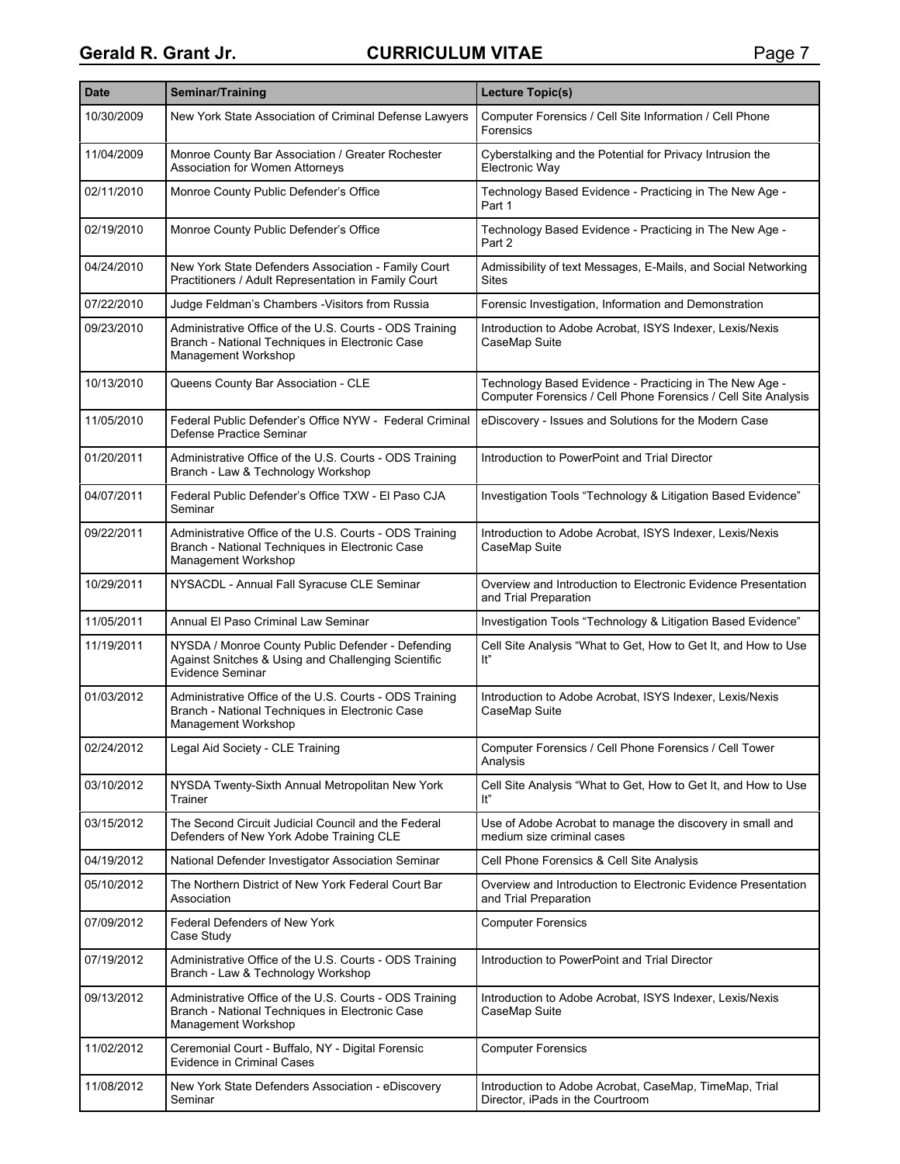| <b>Date</b> | Seminar/Training                                                                                                                    | Lecture Topic(s)                                                                                                          |
|-------------|-------------------------------------------------------------------------------------------------------------------------------------|---------------------------------------------------------------------------------------------------------------------------|
| 10/30/2009  | New York State Association of Criminal Defense Lawyers                                                                              | Computer Forensics / Cell Site Information / Cell Phone<br>Forensics                                                      |
| 11/04/2009  | Monroe County Bar Association / Greater Rochester<br><b>Association for Women Attorneys</b>                                         | Cyberstalking and the Potential for Privacy Intrusion the<br>Electronic Way                                               |
| 02/11/2010  | Monroe County Public Defender's Office                                                                                              | Technology Based Evidence - Practicing in The New Age -<br>Part 1                                                         |
| 02/19/2010  | Monroe County Public Defender's Office                                                                                              | Technology Based Evidence - Practicing in The New Age -<br>Part 2                                                         |
| 04/24/2010  | New York State Defenders Association - Family Court<br>Practitioners / Adult Representation in Family Court                         | Admissibility of text Messages, E-Mails, and Social Networking<br><b>Sites</b>                                            |
| 07/22/2010  | Judge Feldman's Chambers - Visitors from Russia                                                                                     | Forensic Investigation, Information and Demonstration                                                                     |
| 09/23/2010  | Administrative Office of the U.S. Courts - ODS Training<br>Branch - National Techniques in Electronic Case<br>Management Workshop   | Introduction to Adobe Acrobat, ISYS Indexer, Lexis/Nexis<br>CaseMap Suite                                                 |
| 10/13/2010  | Queens County Bar Association - CLE                                                                                                 | Technology Based Evidence - Practicing in The New Age -<br>Computer Forensics / Cell Phone Forensics / Cell Site Analysis |
| 11/05/2010  | Federal Public Defender's Office NYW - Federal Criminal<br>Defense Practice Seminar                                                 | eDiscovery - Issues and Solutions for the Modern Case                                                                     |
| 01/20/2011  | Administrative Office of the U.S. Courts - ODS Training<br>Branch - Law & Technology Workshop                                       | Introduction to PowerPoint and Trial Director                                                                             |
| 04/07/2011  | Federal Public Defender's Office TXW - El Paso CJA<br>Seminar                                                                       | Investigation Tools "Technology & Litigation Based Evidence"                                                              |
| 09/22/2011  | Administrative Office of the U.S. Courts - ODS Training<br>Branch - National Techniques in Electronic Case<br>Management Workshop   | Introduction to Adobe Acrobat, ISYS Indexer, Lexis/Nexis<br>CaseMap Suite                                                 |
| 10/29/2011  | NYSACDL - Annual Fall Syracuse CLE Seminar                                                                                          | Overview and Introduction to Electronic Evidence Presentation<br>and Trial Preparation                                    |
| 11/05/2011  | Annual El Paso Criminal Law Seminar                                                                                                 | Investigation Tools "Technology & Litigation Based Evidence"                                                              |
| 11/19/2011  | NYSDA / Monroe County Public Defender - Defending<br>Against Snitches & Using and Challenging Scientific<br><b>Evidence Seminar</b> | Cell Site Analysis "What to Get, How to Get It, and How to Use<br>It"                                                     |
| 01/03/2012  | Administrative Office of the U.S. Courts - ODS Training<br>Branch - National Techniques in Electronic Case<br>Management Workshop   | Introduction to Adobe Acrobat, ISYS Indexer, Lexis/Nexis<br>CaseMap Suite                                                 |
| 02/24/2012  | Legal Aid Society - CLE Training                                                                                                    | Computer Forensics / Cell Phone Forensics / Cell Tower<br>Analysis                                                        |
| 03/10/2012  | NYSDA Twenty-Sixth Annual Metropolitan New York<br>Trainer                                                                          | Cell Site Analysis "What to Get, How to Get It, and How to Use<br>Iť"                                                     |
| 03/15/2012  | The Second Circuit Judicial Council and the Federal<br>Defenders of New York Adobe Training CLE                                     | Use of Adobe Acrobat to manage the discovery in small and<br>medium size criminal cases                                   |
| 04/19/2012  | National Defender Investigator Association Seminar                                                                                  | Cell Phone Forensics & Cell Site Analysis                                                                                 |
| 05/10/2012  | The Northern District of New York Federal Court Bar<br>Association                                                                  | Overview and Introduction to Electronic Evidence Presentation<br>and Trial Preparation                                    |
| 07/09/2012  | <b>Federal Defenders of New York</b><br>Case Study                                                                                  | <b>Computer Forensics</b>                                                                                                 |
| 07/19/2012  | Administrative Office of the U.S. Courts - ODS Training<br>Branch - Law & Technology Workshop                                       | Introduction to PowerPoint and Trial Director                                                                             |
| 09/13/2012  | Administrative Office of the U.S. Courts - ODS Training<br>Branch - National Techniques in Electronic Case<br>Management Workshop   | Introduction to Adobe Acrobat, ISYS Indexer, Lexis/Nexis<br>CaseMap Suite                                                 |
| 11/02/2012  | Ceremonial Court - Buffalo, NY - Digital Forensic<br><b>Evidence in Criminal Cases</b>                                              | <b>Computer Forensics</b>                                                                                                 |
| 11/08/2012  | New York State Defenders Association - eDiscovery<br>Seminar                                                                        | Introduction to Adobe Acrobat, CaseMap, TimeMap, Trial<br>Director, iPads in the Courtroom                                |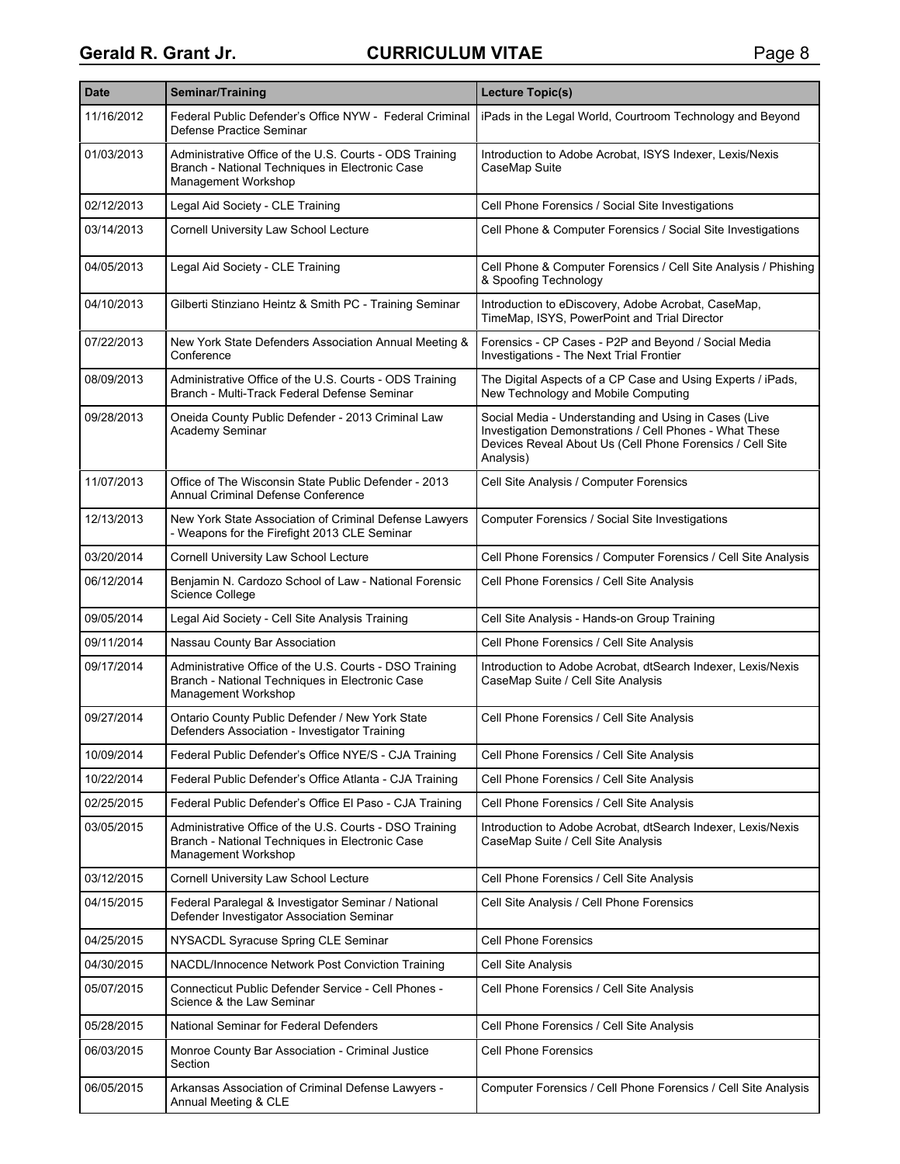| <b>Date</b> | Seminar/Training                                                                                                                  | Lecture Topic(s)                                                                                                                                                                           |
|-------------|-----------------------------------------------------------------------------------------------------------------------------------|--------------------------------------------------------------------------------------------------------------------------------------------------------------------------------------------|
| 11/16/2012  | Federal Public Defender's Office NYW - Federal Criminal<br>Defense Practice Seminar                                               | iPads in the Legal World, Courtroom Technology and Beyond                                                                                                                                  |
| 01/03/2013  | Administrative Office of the U.S. Courts - ODS Training<br>Branch - National Techniques in Electronic Case<br>Management Workshop | Introduction to Adobe Acrobat, ISYS Indexer, Lexis/Nexis<br>CaseMap Suite                                                                                                                  |
| 02/12/2013  | Legal Aid Society - CLE Training                                                                                                  | Cell Phone Forensics / Social Site Investigations                                                                                                                                          |
| 03/14/2013  | Cornell University Law School Lecture                                                                                             | Cell Phone & Computer Forensics / Social Site Investigations                                                                                                                               |
| 04/05/2013  | Legal Aid Society - CLE Training                                                                                                  | Cell Phone & Computer Forensics / Cell Site Analysis / Phishing<br>& Spoofing Technology                                                                                                   |
| 04/10/2013  | Gilberti Stinziano Heintz & Smith PC - Training Seminar                                                                           | Introduction to eDiscovery, Adobe Acrobat, CaseMap,<br>TimeMap, ISYS, PowerPoint and Trial Director                                                                                        |
| 07/22/2013  | New York State Defenders Association Annual Meeting &<br>Conference                                                               | Forensics - CP Cases - P2P and Beyond / Social Media<br>Investigations - The Next Trial Frontier                                                                                           |
| 08/09/2013  | Administrative Office of the U.S. Courts - ODS Training<br>Branch - Multi-Track Federal Defense Seminar                           | The Digital Aspects of a CP Case and Using Experts / iPads,<br>New Technology and Mobile Computing                                                                                         |
| 09/28/2013  | Oneida County Public Defender - 2013 Criminal Law<br>Academy Seminar                                                              | Social Media - Understanding and Using in Cases (Live<br>Investigation Demonstrations / Cell Phones - What These<br>Devices Reveal About Us (Cell Phone Forensics / Cell Site<br>Analysis) |
| 11/07/2013  | Office of The Wisconsin State Public Defender - 2013<br>Annual Criminal Defense Conference                                        | Cell Site Analysis / Computer Forensics                                                                                                                                                    |
| 12/13/2013  | New York State Association of Criminal Defense Lawyers<br>- Weapons for the Firefight 2013 CLE Seminar                            | Computer Forensics / Social Site Investigations                                                                                                                                            |
| 03/20/2014  | Cornell University Law School Lecture                                                                                             | Cell Phone Forensics / Computer Forensics / Cell Site Analysis                                                                                                                             |
| 06/12/2014  | Benjamin N. Cardozo School of Law - National Forensic<br>Science College                                                          | Cell Phone Forensics / Cell Site Analysis                                                                                                                                                  |
| 09/05/2014  | Legal Aid Society - Cell Site Analysis Training                                                                                   | Cell Site Analysis - Hands-on Group Training                                                                                                                                               |
| 09/11/2014  | Nassau County Bar Association                                                                                                     | Cell Phone Forensics / Cell Site Analysis                                                                                                                                                  |
| 09/17/2014  | Administrative Office of the U.S. Courts - DSO Training<br>Branch - National Techniques in Electronic Case<br>Management Workshop | Introduction to Adobe Acrobat, dtSearch Indexer, Lexis/Nexis<br>CaseMap Suite / Cell Site Analysis                                                                                         |
| 09/27/2014  | Ontario County Public Defender / New York State<br>Defenders Association - Investigator Training                                  | Cell Phone Forensics / Cell Site Analysis                                                                                                                                                  |
| 10/09/2014  | Federal Public Defender's Office NYE/S - CJA Training                                                                             | Cell Phone Forensics / Cell Site Analysis                                                                                                                                                  |
| 10/22/2014  | Federal Public Defender's Office Atlanta - CJA Training                                                                           | Cell Phone Forensics / Cell Site Analysis                                                                                                                                                  |
| 02/25/2015  | Federal Public Defender's Office El Paso - CJA Training                                                                           | Cell Phone Forensics / Cell Site Analysis                                                                                                                                                  |
| 03/05/2015  | Administrative Office of the U.S. Courts - DSO Training<br>Branch - National Techniques in Electronic Case<br>Management Workshop | Introduction to Adobe Acrobat, dtSearch Indexer, Lexis/Nexis<br>CaseMap Suite / Cell Site Analysis                                                                                         |
| 03/12/2015  | <b>Cornell University Law School Lecture</b>                                                                                      | Cell Phone Forensics / Cell Site Analysis                                                                                                                                                  |
| 04/15/2015  | Federal Paralegal & Investigator Seminar / National<br>Defender Investigator Association Seminar                                  | Cell Site Analysis / Cell Phone Forensics                                                                                                                                                  |
| 04/25/2015  | NYSACDL Syracuse Spring CLE Seminar                                                                                               | <b>Cell Phone Forensics</b>                                                                                                                                                                |
| 04/30/2015  | NACDL/Innocence Network Post Conviction Training                                                                                  | Cell Site Analysis                                                                                                                                                                         |
| 05/07/2015  | Connecticut Public Defender Service - Cell Phones -<br>Science & the Law Seminar                                                  | Cell Phone Forensics / Cell Site Analysis                                                                                                                                                  |
| 05/28/2015  | National Seminar for Federal Defenders                                                                                            | Cell Phone Forensics / Cell Site Analysis                                                                                                                                                  |
| 06/03/2015  | Monroe County Bar Association - Criminal Justice<br>Section                                                                       | <b>Cell Phone Forensics</b>                                                                                                                                                                |
| 06/05/2015  | Arkansas Association of Criminal Defense Lawyers -<br>Annual Meeting & CLE                                                        | Computer Forensics / Cell Phone Forensics / Cell Site Analysis                                                                                                                             |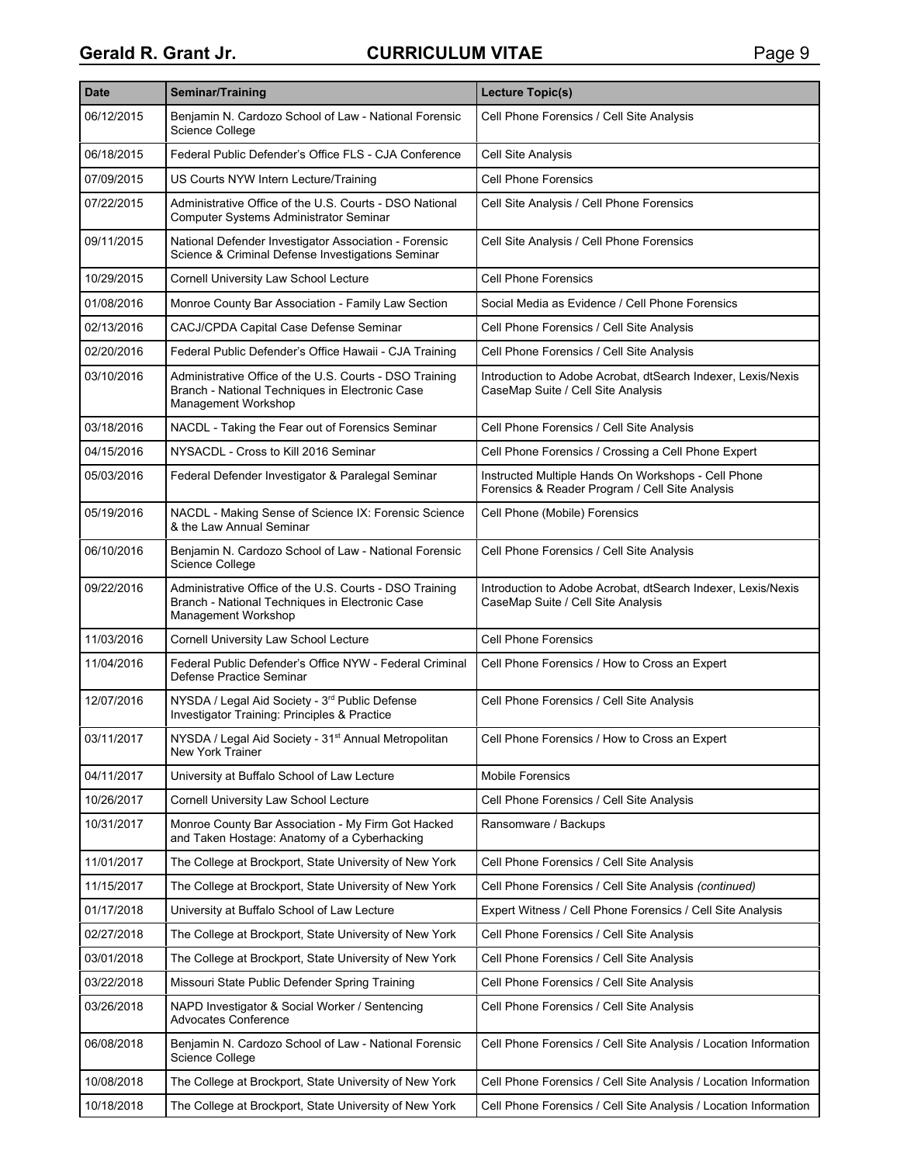| <b>Date</b> | <b>Seminar/Training</b>                                                                                                           | <b>Lecture Topic(s)</b>                                                                                |
|-------------|-----------------------------------------------------------------------------------------------------------------------------------|--------------------------------------------------------------------------------------------------------|
| 06/12/2015  | Benjamin N. Cardozo School of Law - National Forensic<br>Science College                                                          | Cell Phone Forensics / Cell Site Analysis                                                              |
| 06/18/2015  | Federal Public Defender's Office FLS - CJA Conference                                                                             | Cell Site Analysis                                                                                     |
| 07/09/2015  | US Courts NYW Intern Lecture/Training                                                                                             | <b>Cell Phone Forensics</b>                                                                            |
| 07/22/2015  | Administrative Office of the U.S. Courts - DSO National<br>Computer Systems Administrator Seminar                                 | Cell Site Analysis / Cell Phone Forensics                                                              |
| 09/11/2015  | National Defender Investigator Association - Forensic<br>Science & Criminal Defense Investigations Seminar                        | Cell Site Analysis / Cell Phone Forensics                                                              |
| 10/29/2015  | Cornell University Law School Lecture                                                                                             | <b>Cell Phone Forensics</b>                                                                            |
| 01/08/2016  | Monroe County Bar Association - Family Law Section                                                                                | Social Media as Evidence / Cell Phone Forensics                                                        |
| 02/13/2016  | CACJ/CPDA Capital Case Defense Seminar                                                                                            | Cell Phone Forensics / Cell Site Analysis                                                              |
| 02/20/2016  | Federal Public Defender's Office Hawaii - CJA Training                                                                            | Cell Phone Forensics / Cell Site Analysis                                                              |
| 03/10/2016  | Administrative Office of the U.S. Courts - DSO Training<br>Branch - National Techniques in Electronic Case<br>Management Workshop | Introduction to Adobe Acrobat, dtSearch Indexer, Lexis/Nexis<br>CaseMap Suite / Cell Site Analysis     |
| 03/18/2016  | NACDL - Taking the Fear out of Forensics Seminar                                                                                  | Cell Phone Forensics / Cell Site Analysis                                                              |
| 04/15/2016  | NYSACDL - Cross to Kill 2016 Seminar                                                                                              | Cell Phone Forensics / Crossing a Cell Phone Expert                                                    |
| 05/03/2016  | Federal Defender Investigator & Paralegal Seminar                                                                                 | Instructed Multiple Hands On Workshops - Cell Phone<br>Forensics & Reader Program / Cell Site Analysis |
| 05/19/2016  | NACDL - Making Sense of Science IX: Forensic Science<br>& the Law Annual Seminar                                                  | Cell Phone (Mobile) Forensics                                                                          |
| 06/10/2016  | Benjamin N. Cardozo School of Law - National Forensic<br>Science College                                                          | Cell Phone Forensics / Cell Site Analysis                                                              |
| 09/22/2016  | Administrative Office of the U.S. Courts - DSO Training<br>Branch - National Techniques in Electronic Case<br>Management Workshop | Introduction to Adobe Acrobat, dtSearch Indexer, Lexis/Nexis<br>CaseMap Suite / Cell Site Analysis     |
| 11/03/2016  | Cornell University Law School Lecture                                                                                             | <b>Cell Phone Forensics</b>                                                                            |
| 11/04/2016  | Federal Public Defender's Office NYW - Federal Criminal<br>Defense Practice Seminar                                               | Cell Phone Forensics / How to Cross an Expert                                                          |
| 12/07/2016  | NYSDA / Legal Aid Society - 3 <sup>rd</sup> Public Defense<br>Investigator Training: Principles & Practice                        | Cell Phone Forensics / Cell Site Analysis                                                              |
| 03/11/2017  | NYSDA / Legal Aid Society - 31 <sup>st</sup> Annual Metropolitan<br><b>New York Trainer</b>                                       | Cell Phone Forensics / How to Cross an Expert                                                          |
| 04/11/2017  | University at Buffalo School of Law Lecture                                                                                       | <b>Mobile Forensics</b>                                                                                |
| 10/26/2017  | Cornell University Law School Lecture                                                                                             | Cell Phone Forensics / Cell Site Analysis                                                              |
| 10/31/2017  | Monroe County Bar Association - My Firm Got Hacked<br>and Taken Hostage: Anatomy of a Cyberhacking                                | Ransomware / Backups                                                                                   |
| 11/01/2017  | The College at Brockport, State University of New York                                                                            | Cell Phone Forensics / Cell Site Analysis                                                              |
| 11/15/2017  | The College at Brockport, State University of New York                                                                            | Cell Phone Forensics / Cell Site Analysis (continued)                                                  |
| 01/17/2018  | University at Buffalo School of Law Lecture                                                                                       | Expert Witness / Cell Phone Forensics / Cell Site Analysis                                             |
| 02/27/2018  | The College at Brockport, State University of New York                                                                            | Cell Phone Forensics / Cell Site Analysis                                                              |
| 03/01/2018  | The College at Brockport, State University of New York                                                                            | Cell Phone Forensics / Cell Site Analysis                                                              |
| 03/22/2018  | Missouri State Public Defender Spring Training                                                                                    | Cell Phone Forensics / Cell Site Analysis                                                              |
| 03/26/2018  | NAPD Investigator & Social Worker / Sentencing<br><b>Advocates Conference</b>                                                     | Cell Phone Forensics / Cell Site Analysis                                                              |
| 06/08/2018  | Benjamin N. Cardozo School of Law - National Forensic<br>Science College                                                          | Cell Phone Forensics / Cell Site Analysis / Location Information                                       |
| 10/08/2018  | The College at Brockport, State University of New York                                                                            | Cell Phone Forensics / Cell Site Analysis / Location Information                                       |
| 10/18/2018  | The College at Brockport, State University of New York                                                                            | Cell Phone Forensics / Cell Site Analysis / Location Information                                       |